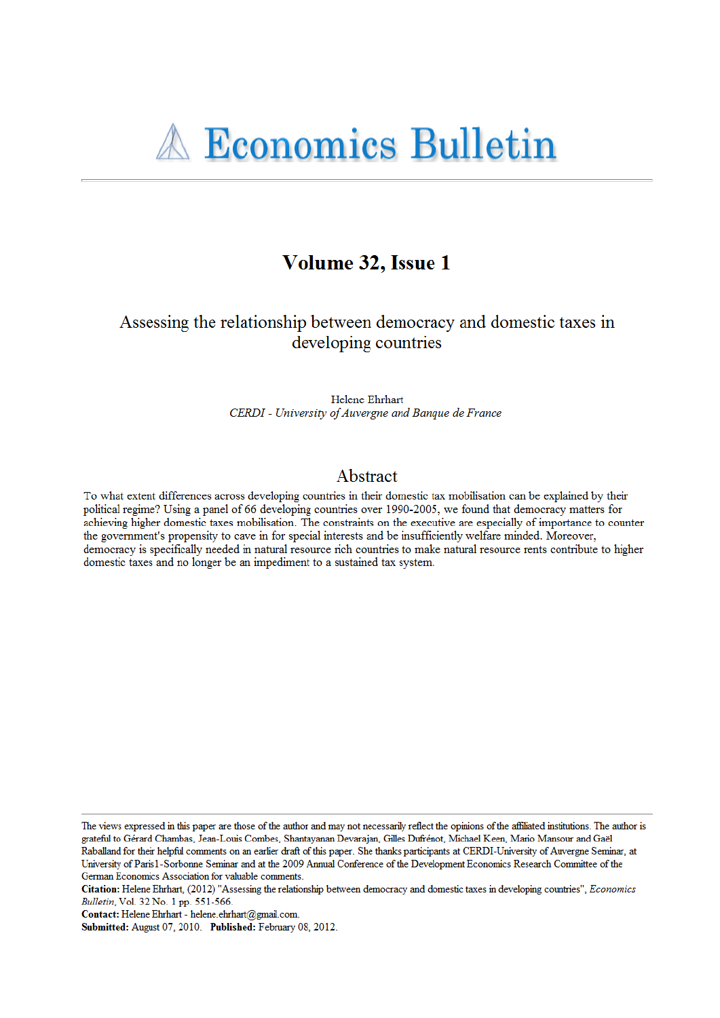# Volume 32, Issue 1

## Assessing the relationship between democracy and domestic taxes in developing countries

Helene Ehrhart CERDI - University of Auvergne and Banque de France

### Abstract

To what extent differences across developing countries in their domestic tax mobilisation can be explained by their political regime? Using a panel of 66 developing countries over 1990-2005, we found that democracy matters for achieving higher domestic taxes mobilisation. The constraints on the executive are especially of importance to counter the government's propensity to cave in for special interests and be insufficiently welfare minded. Moreover, democracy is specifically needed in natural resource rich countries to make natural resource rents contribute to higher domestic taxes and no longer be an impediment to a sustained tax system.

The views expressed in this paper are those of the author and may not necessarily reflect the opinions of the affiliated institutions. The author is grateful to Gérard Chambas, Jean-Louis Combes, Shantayanan Devarajan, Gilles Dufrénot, Michael Keen, Mario Mansour and Gaël Raballand for their helpful comments on an earlier draft of this paper. She thanks participants at CERDI-University of Auvergne Seminar, at University of Paris1-Sorbonne Seminar and at the 2009 Annual Conference of the Development Economics Research Committee of the German Economics Association for valuable comments.

Citation: Helene Ehrhart, (2012) "Assessing the relationship between democracy and domestic taxes in developing countries", Economics Bulletin, Vol. 32 No. 1 pp. 551-566.

Contact: Helene Ehrhart - helene.ehrhart@gmail.com.

Submitted: August 07, 2010. Published: February 08, 2012.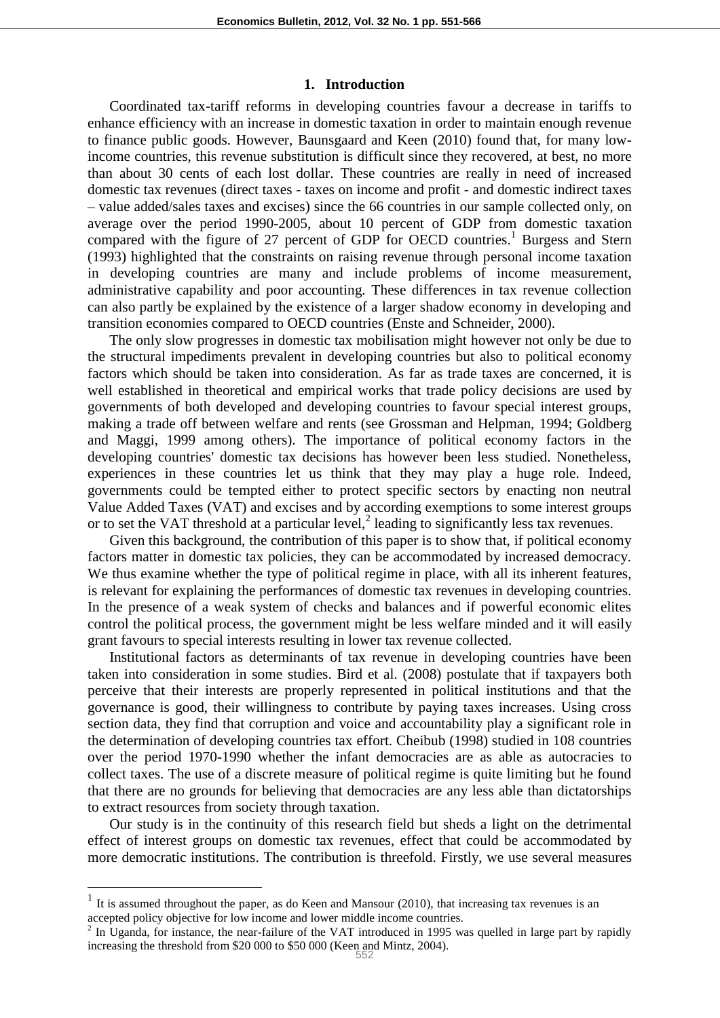#### **1. Introduction**

Coordinated tax-tariff reforms in developing countries favour a decrease in tariffs to enhance efficiency with an increase in domestic taxation in order to maintain enough revenue to finance public goods. However, Baunsgaard and Keen (2010) found that, for many lowincome countries, this revenue substitution is difficult since they recovered, at best, no more than about 30 cents of each lost dollar. These countries are really in need of increased domestic tax revenues (direct taxes - taxes on income and profit - and domestic indirect taxes – value added/sales taxes and excises) since the 66 countries in our sample collected only, on average over the period 1990-2005, about 10 percent of GDP from domestic taxation compared with the figure of 27 percent of GDP for OECD countries.<sup>1</sup> Burgess and Stern (1993) highlighted that the constraints on raising revenue through personal income taxation in developing countries are many and include problems of income measurement, administrative capability and poor accounting. These differences in tax revenue collection can also partly be explained by the existence of a larger shadow economy in developing and transition economies compared to OECD countries (Enste and Schneider, 2000).

The only slow progresses in domestic tax mobilisation might however not only be due to the structural impediments prevalent in developing countries but also to political economy factors which should be taken into consideration. As far as trade taxes are concerned, it is well established in theoretical and empirical works that trade policy decisions are used by governments of both developed and developing countries to favour special interest groups, making a trade off between welfare and rents (see Grossman and Helpman, 1994; Goldberg and Maggi, 1999 among others). The importance of political economy factors in the developing countries' domestic tax decisions has however been less studied. Nonetheless, experiences in these countries let us think that they may play a huge role. Indeed, governments could be tempted either to protect specific sectors by enacting non neutral Value Added Taxes (VAT) and excises and by according exemptions to some interest groups or to set the VAT threshold at a particular level, $<sup>2</sup>$  leading to significantly less tax revenues.</sup>

Given this background, the contribution of this paper is to show that, if political economy factors matter in domestic tax policies, they can be accommodated by increased democracy. We thus examine whether the type of political regime in place, with all its inherent features, is relevant for explaining the performances of domestic tax revenues in developing countries. In the presence of a weak system of checks and balances and if powerful economic elites control the political process, the government might be less welfare minded and it will easily grant favours to special interests resulting in lower tax revenue collected.

Institutional factors as determinants of tax revenue in developing countries have been taken into consideration in some studies. Bird et al. (2008) postulate that if taxpayers both perceive that their interests are properly represented in political institutions and that the governance is good, their willingness to contribute by paying taxes increases. Using cross section data, they find that corruption and voice and accountability play a significant role in the determination of developing countries tax effort. Cheibub (1998) studied in 108 countries over the period 1970-1990 whether the infant democracies are as able as autocracies to collect taxes. The use of a discrete measure of political regime is quite limiting but he found that there are no grounds for believing that democracies are any less able than dictatorships to extract resources from society through taxation.

Our study is in the continuity of this research field but sheds a light on the detrimental effect of interest groups on domestic tax revenues, effect that could be accommodated by more democratic institutions. The contribution is threefold. Firstly, we use several measures

 $<sup>1</sup>$  It is assumed throughout the paper, as do Keen and Mansour (2010), that increasing tax revenues is an</sup> accepted policy objective for low income and lower middle income countries.

 $2 \text{ In Uganda, for instance, the near-failure of the VAT introduced in 1995 was quelled in large part by rapidly}$ increasing the threshold from \$20 000 to \$50 000 (Keen and Mintz, 2004).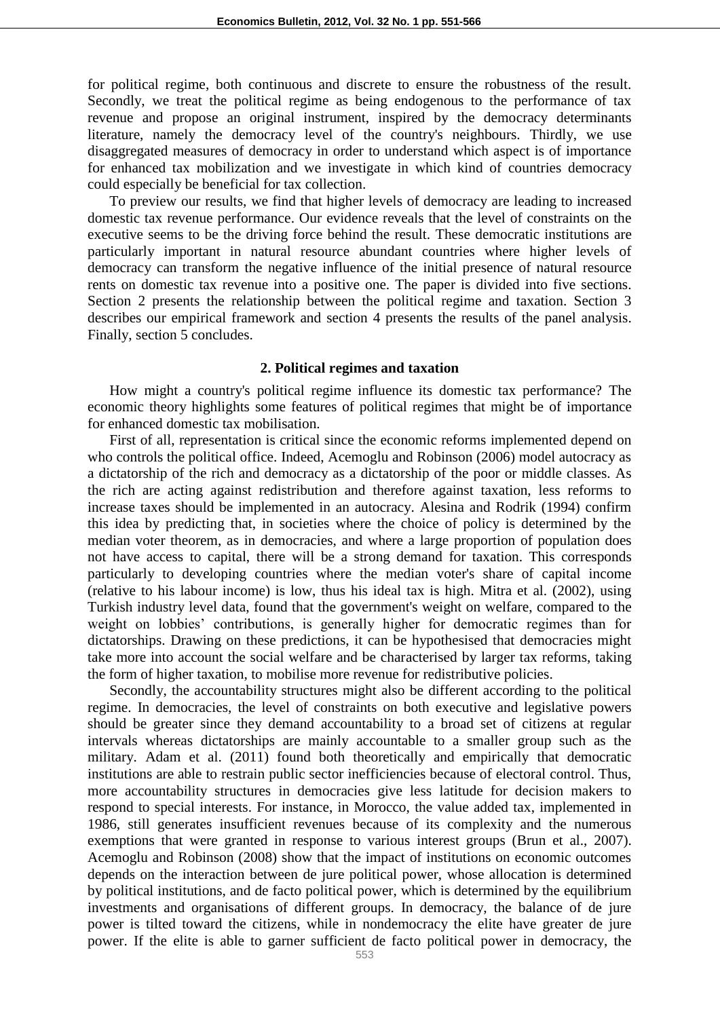for political regime, both continuous and discrete to ensure the robustness of the result. Secondly, we treat the political regime as being endogenous to the performance of tax revenue and propose an original instrument, inspired by the democracy determinants literature, namely the democracy level of the country's neighbours. Thirdly, we use disaggregated measures of democracy in order to understand which aspect is of importance for enhanced tax mobilization and we investigate in which kind of countries democracy could especially be beneficial for tax collection.

To preview our results, we find that higher levels of democracy are leading to increased domestic tax revenue performance. Our evidence reveals that the level of constraints on the executive seems to be the driving force behind the result. These democratic institutions are particularly important in natural resource abundant countries where higher levels of democracy can transform the negative influence of the initial presence of natural resource rents on domestic tax revenue into a positive one. The paper is divided into five sections. Section 2 presents the relationship between the political regime and taxation. Section 3 describes our empirical framework and section 4 presents the results of the panel analysis. Finally, section 5 concludes.

#### **2. Political regimes and taxation**

How might a country's political regime influence its domestic tax performance? The economic theory highlights some features of political regimes that might be of importance for enhanced domestic tax mobilisation.

First of all, representation is critical since the economic reforms implemented depend on who controls the political office. Indeed, Acemoglu and Robinson (2006) model autocracy as a dictatorship of the rich and democracy as a dictatorship of the poor or middle classes. As the rich are acting against redistribution and therefore against taxation, less reforms to increase taxes should be implemented in an autocracy. Alesina and Rodrik (1994) confirm this idea by predicting that, in societies where the choice of policy is determined by the median voter theorem, as in democracies, and where a large proportion of population does not have access to capital, there will be a strong demand for taxation. This corresponds particularly to developing countries where the median voter's share of capital income (relative to his labour income) is low, thus his ideal tax is high. Mitra et al. (2002), using Turkish industry level data, found that the government's weight on welfare, compared to the weight on lobbies' contributions, is generally higher for democratic regimes than for dictatorships. Drawing on these predictions, it can be hypothesised that democracies might take more into account the social welfare and be characterised by larger tax reforms, taking the form of higher taxation, to mobilise more revenue for redistributive policies.

Secondly, the accountability structures might also be different according to the political regime. In democracies, the level of constraints on both executive and legislative powers should be greater since they demand accountability to a broad set of citizens at regular intervals whereas dictatorships are mainly accountable to a smaller group such as the military. Adam et al. (2011) found both theoretically and empirically that democratic institutions are able to restrain public sector inefficiencies because of electoral control. Thus, more accountability structures in democracies give less latitude for decision makers to respond to special interests. For instance, in Morocco, the value added tax, implemented in 1986, still generates insufficient revenues because of its complexity and the numerous exemptions that were granted in response to various interest groups (Brun et al., 2007). Acemoglu and Robinson (2008) show that the impact of institutions on economic outcomes depends on the interaction between de jure political power, whose allocation is determined by political institutions, and de facto political power, which is determined by the equilibrium investments and organisations of different groups. In democracy, the balance of de jure power is tilted toward the citizens, while in nondemocracy the elite have greater de jure power. If the elite is able to garner sufficient de facto political power in democracy, the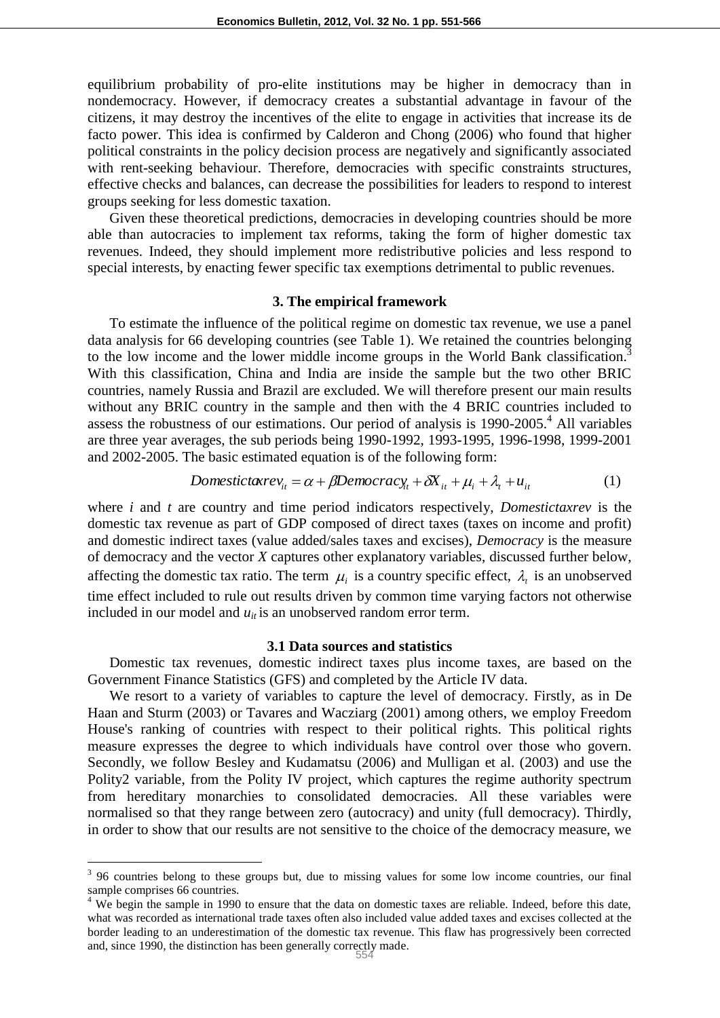equilibrium probability of pro-elite institutions may be higher in democracy than in nondemocracy. However, if democracy creates a substantial advantage in favour of the citizens, it may destroy the incentives of the elite to engage in activities that increase its de facto power. This idea is confirmed by Calderon and Chong (2006) who found that higher political constraints in the policy decision process are negatively and significantly associated with rent-seeking behaviour. Therefore, democracies with specific constraints structures, effective checks and balances, can decrease the possibilities for leaders to respond to interest groups seeking for less domestic taxation.

Given these theoretical predictions, democracies in developing countries should be more able than autocracies to implement tax reforms, taking the form of higher domestic tax revenues. Indeed, they should implement more redistributive policies and less respond to special interests, by enacting fewer specific tax exemptions detrimental to public revenues.

#### **3. The empirical framework**

To estimate the influence of the political regime on domestic tax revenue, we use a panel data analysis for 66 developing countries (see Table 1). We retained the countries belonging to the low income and the lower middle income groups in the World Bank classification.<sup>3</sup> With this classification, China and India are inside the sample but the two other BRIC countries, namely Russia and Brazil are excluded. We will therefore present our main results without any BRIC country in the sample and then with the 4 BRIC countries included to assess the robustness of our estimations. Our period of analysis is  $1990-2005$ <sup>4</sup>. All variables are three year averages, the sub periods being 1990-1992, 1993-1995, 1996-1998, 1999-2001 and 2002-2005. The basic estimated equation is of the following form:

$$
Domestic taxrev_{it} = \alpha + \beta Democracy_{it} + \delta X_{it} + \mu_i + \lambda_t + u_{it}
$$
 (1)

where *i* and *t* are country and time period indicators respectively, *Domestictaxrev* is the domestic tax revenue as part of GDP composed of direct taxes (taxes on income and profit) and domestic indirect taxes (value added/sales taxes and excises), *Democracy* is the measure of democracy and the vector *X* captures other explanatory variables, discussed further below, affecting the domestic tax ratio. The term  $\mu_i$  is a country specific effect,  $\lambda_i$  is an unobserved time effect included to rule out results driven by common time varying factors not otherwise included in our model and  $u_{it}$  is an unobserved random error term.

#### **3.1 Data sources and statistics**

Domestic tax revenues, domestic indirect taxes plus income taxes, are based on the Government Finance Statistics (GFS) and completed by the Article IV data.

We resort to a variety of variables to capture the level of democracy. Firstly, as in De Haan and Sturm (2003) or Tavares and Wacziarg (2001) among others, we employ Freedom House's ranking of countries with respect to their political rights. This political rights measure expresses the degree to which individuals have control over those who govern. Secondly, we follow Besley and Kudamatsu (2006) and Mulligan et al. (2003) and use the Polity2 variable, from the Polity IV project, which captures the regime authority spectrum from hereditary monarchies to consolidated democracies. All these variables were normalised so that they range between zero (autocracy) and unity (full democracy). Thirdly, in order to show that our results are not sensitive to the choice of the democracy measure, we

<sup>&</sup>lt;sup>3</sup> 96 countries belong to these groups but, due to missing values for some low income countries, our final sample comprises 66 countries.

<sup>&</sup>lt;sup>4</sup> We begin the sample in 1990 to ensure that the data on domestic taxes are reliable. Indeed, before this date, what was recorded as international trade taxes often also included value added taxes and excises collected at the border leading to an underestimation of the domestic tax revenue. This flaw has progressively been corrected and, since 1990, the distinction has been generally correctly made. 554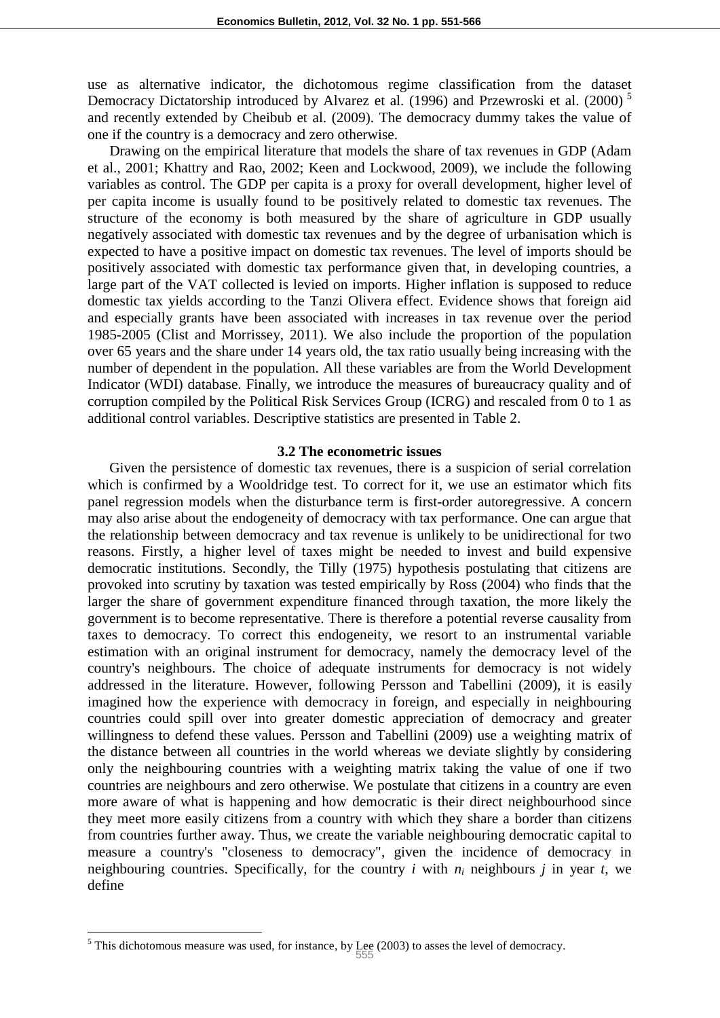use as alternative indicator, the dichotomous regime classification from the dataset Democracy Dictatorship introduced by Alvarez et al. (1996) and Przewroski et al. (2000)<sup>5</sup> and recently extended by Cheibub et al. (2009). The democracy dummy takes the value of one if the country is a democracy and zero otherwise.

Drawing on the empirical literature that models the share of tax revenues in GDP (Adam et al., 2001; Khattry and Rao, 2002; Keen and Lockwood, 2009), we include the following variables as control. The GDP per capita is a proxy for overall development, higher level of per capita income is usually found to be positively related to domestic tax revenues. The structure of the economy is both measured by the share of agriculture in GDP usually negatively associated with domestic tax revenues and by the degree of urbanisation which is expected to have a positive impact on domestic tax revenues. The level of imports should be positively associated with domestic tax performance given that, in developing countries, a large part of the VAT collected is levied on imports. Higher inflation is supposed to reduce domestic tax yields according to the Tanzi Olivera effect. Evidence shows that foreign aid and especially grants have been associated with increases in tax revenue over the period 1985-2005 (Clist and Morrissey, 2011). We also include the proportion of the population over 65 years and the share under 14 years old, the tax ratio usually being increasing with the number of dependent in the population. All these variables are from the World Development Indicator (WDI) database. Finally, we introduce the measures of bureaucracy quality and of corruption compiled by the Political Risk Services Group (ICRG) and rescaled from 0 to 1 as additional control variables. Descriptive statistics are presented in Table 2.

#### **3.2 The econometric issues**

Given the persistence of domestic tax revenues, there is a suspicion of serial correlation which is confirmed by a Wooldridge test. To correct for it, we use an estimator which fits panel regression models when the disturbance term is first-order autoregressive. A concern may also arise about the endogeneity of democracy with tax performance. One can argue that the relationship between democracy and tax revenue is unlikely to be unidirectional for two reasons. Firstly, a higher level of taxes might be needed to invest and build expensive democratic institutions. Secondly, the Tilly (1975) hypothesis postulating that citizens are provoked into scrutiny by taxation was tested empirically by Ross (2004) who finds that the larger the share of government expenditure financed through taxation, the more likely the government is to become representative. There is therefore a potential reverse causality from taxes to democracy. To correct this endogeneity, we resort to an instrumental variable estimation with an original instrument for democracy, namely the democracy level of the country's neighbours. The choice of adequate instruments for democracy is not widely addressed in the literature. However, following Persson and Tabellini (2009), it is easily imagined how the experience with democracy in foreign, and especially in neighbouring countries could spill over into greater domestic appreciation of democracy and greater willingness to defend these values. Persson and Tabellini (2009) use a weighting matrix of the distance between all countries in the world whereas we deviate slightly by considering only the neighbouring countries with a weighting matrix taking the value of one if two countries are neighbours and zero otherwise. We postulate that citizens in a country are even more aware of what is happening and how democratic is their direct neighbourhood since they meet more easily citizens from a country with which they share a border than citizens from countries further away. Thus, we create the variable neighbouring democratic capital to measure a country's "closeness to democracy", given the incidence of democracy in neighbouring countries. Specifically, for the country *i* with *n<sup>i</sup>* neighbours *j* in year *t*, we define

<sup>&</sup>lt;sup>5</sup> This dichotomous measure was used, for instance, by Lee (2003) to asses the level of democracy.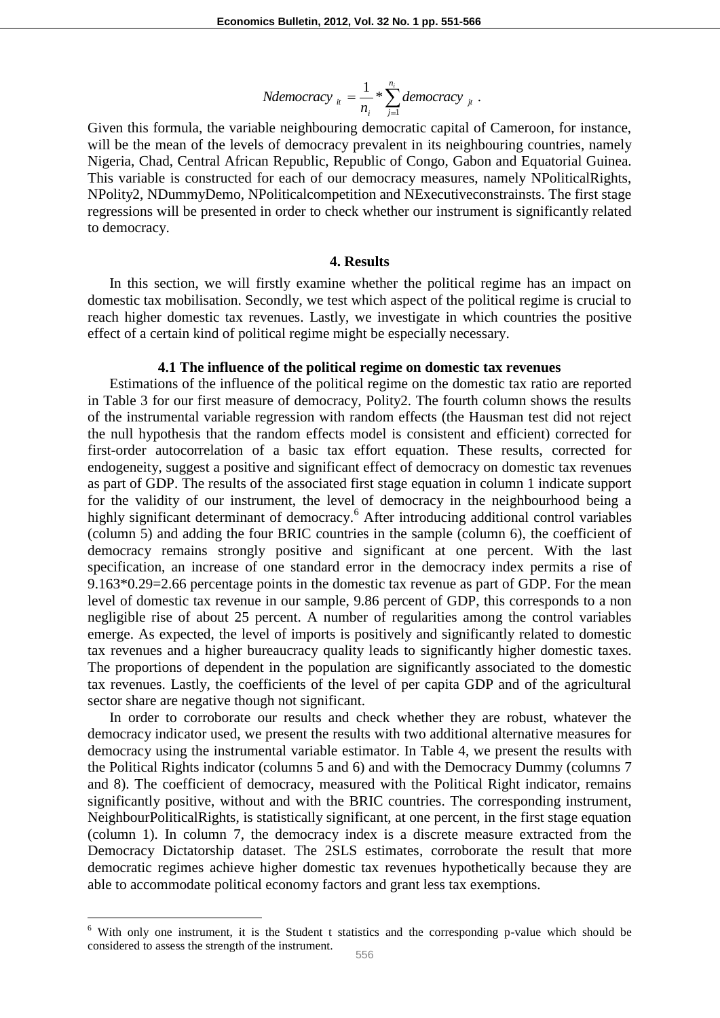*Ndemocracy* 
$$
_u = \frac{1}{n_i} * \sum_{j=1}^{n_i} \text{democracy }_{j_t}
$$
.

Given this formula, the variable neighbouring democratic capital of Cameroon, for instance, will be the mean of the levels of democracy prevalent in its neighbouring countries, namely Nigeria, Chad, Central African Republic, Republic of Congo, Gabon and Equatorial Guinea. This variable is constructed for each of our democracy measures, namely NPoliticalRights, NPolity2, NDummyDemo, NPoliticalcompetition and NExecutiveconstrainsts. The first stage regressions will be presented in order to check whether our instrument is significantly related to democracy.

#### **4. Results**

In this section, we will firstly examine whether the political regime has an impact on domestic tax mobilisation. Secondly, we test which aspect of the political regime is crucial to reach higher domestic tax revenues. Lastly, we investigate in which countries the positive effect of a certain kind of political regime might be especially necessary.

#### **4.1 The influence of the political regime on domestic tax revenues**

Estimations of the influence of the political regime on the domestic tax ratio are reported in Table 3 for our first measure of democracy, Polity2. The fourth column shows the results of the instrumental variable regression with random effects (the Hausman test did not reject the null hypothesis that the random effects model is consistent and efficient) corrected for first-order autocorrelation of a basic tax effort equation. These results, corrected for endogeneity, suggest a positive and significant effect of democracy on domestic tax revenues as part of GDP. The results of the associated first stage equation in column 1 indicate support for the validity of our instrument, the level of democracy in the neighbourhood being a highly significant determinant of democracy.<sup>6</sup> After introducing additional control variables (column 5) and adding the four BRIC countries in the sample (column 6), the coefficient of democracy remains strongly positive and significant at one percent. With the last specification, an increase of one standard error in the democracy index permits a rise of 9.163\*0.29=2.66 percentage points in the domestic tax revenue as part of GDP. For the mean level of domestic tax revenue in our sample, 9.86 percent of GDP, this corresponds to a non negligible rise of about 25 percent. A number of regularities among the control variables emerge. As expected, the level of imports is positively and significantly related to domestic tax revenues and a higher bureaucracy quality leads to significantly higher domestic taxes. The proportions of dependent in the population are significantly associated to the domestic tax revenues. Lastly, the coefficients of the level of per capita GDP and of the agricultural sector share are negative though not significant.

In order to corroborate our results and check whether they are robust, whatever the democracy indicator used, we present the results with two additional alternative measures for democracy using the instrumental variable estimator. In Table 4, we present the results with the Political Rights indicator (columns 5 and 6) and with the Democracy Dummy (columns 7 and 8). The coefficient of democracy, measured with the Political Right indicator, remains significantly positive, without and with the BRIC countries. The corresponding instrument, NeighbourPoliticalRights, is statistically significant, at one percent, in the first stage equation (column 1). In column 7, the democracy index is a discrete measure extracted from the Democracy Dictatorship dataset. The 2SLS estimates, corroborate the result that more democratic regimes achieve higher domestic tax revenues hypothetically because they are able to accommodate political economy factors and grant less tax exemptions.

<sup>6</sup> With only one instrument, it is the Student t statistics and the corresponding p-value which should be considered to assess the strength of the instrument.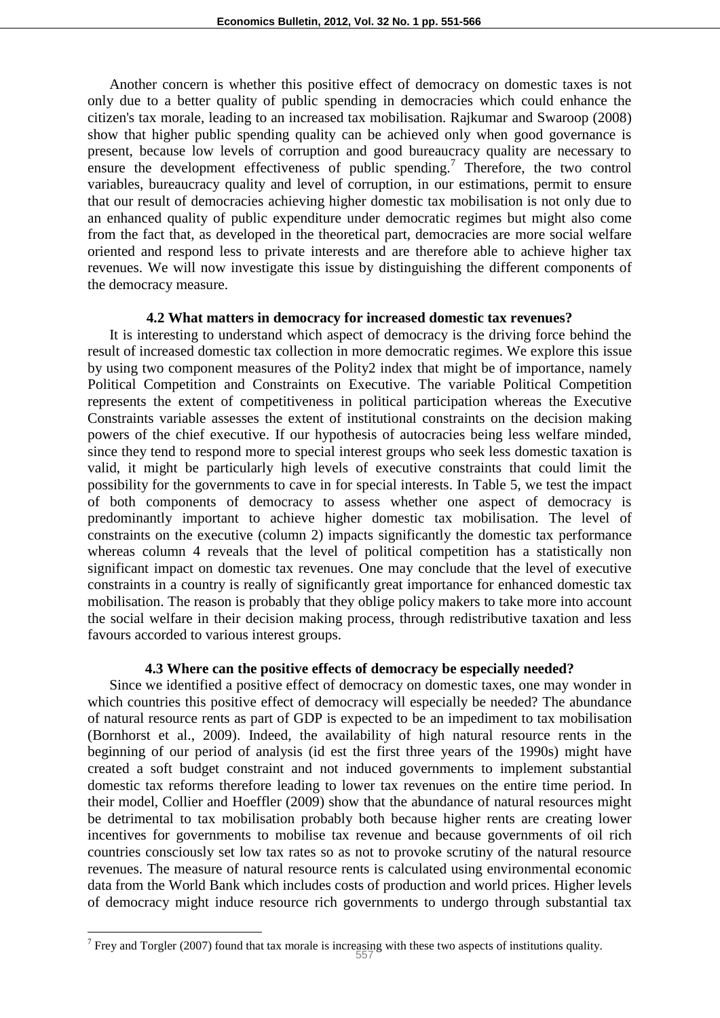Another concern is whether this positive effect of democracy on domestic taxes is not only due to a better quality of public spending in democracies which could enhance the citizen's tax morale, leading to an increased tax mobilisation. Rajkumar and Swaroop (2008) show that higher public spending quality can be achieved only when good governance is present, because low levels of corruption and good bureaucracy quality are necessary to ensure the development effectiveness of public spending.<sup>7</sup> Therefore, the two control variables, bureaucracy quality and level of corruption, in our estimations, permit to ensure that our result of democracies achieving higher domestic tax mobilisation is not only due to an enhanced quality of public expenditure under democratic regimes but might also come from the fact that, as developed in the theoretical part, democracies are more social welfare oriented and respond less to private interests and are therefore able to achieve higher tax revenues. We will now investigate this issue by distinguishing the different components of the democracy measure.

#### **4.2 What matters in democracy for increased domestic tax revenues?**

It is interesting to understand which aspect of democracy is the driving force behind the result of increased domestic tax collection in more democratic regimes. We explore this issue by using two component measures of the Polity2 index that might be of importance, namely Political Competition and Constraints on Executive. The variable Political Competition represents the extent of competitiveness in political participation whereas the Executive Constraints variable assesses the extent of institutional constraints on the decision making powers of the chief executive. If our hypothesis of autocracies being less welfare minded, since they tend to respond more to special interest groups who seek less domestic taxation is valid, it might be particularly high levels of executive constraints that could limit the possibility for the governments to cave in for special interests. In Table 5, we test the impact of both components of democracy to assess whether one aspect of democracy is predominantly important to achieve higher domestic tax mobilisation. The level of constraints on the executive (column 2) impacts significantly the domestic tax performance whereas column 4 reveals that the level of political competition has a statistically non significant impact on domestic tax revenues. One may conclude that the level of executive constraints in a country is really of significantly great importance for enhanced domestic tax mobilisation. The reason is probably that they oblige policy makers to take more into account the social welfare in their decision making process, through redistributive taxation and less favours accorded to various interest groups.

#### **4.3 Where can the positive effects of democracy be especially needed?**

Since we identified a positive effect of democracy on domestic taxes, one may wonder in which countries this positive effect of democracy will especially be needed? The abundance of natural resource rents as part of GDP is expected to be an impediment to tax mobilisation (Bornhorst et al., 2009). Indeed, the availability of high natural resource rents in the beginning of our period of analysis (id est the first three years of the 1990s) might have created a soft budget constraint and not induced governments to implement substantial domestic tax reforms therefore leading to lower tax revenues on the entire time period. In their model, Collier and Hoeffler (2009) show that the abundance of natural resources might be detrimental to tax mobilisation probably both because higher rents are creating lower incentives for governments to mobilise tax revenue and because governments of oil rich countries consciously set low tax rates so as not to provoke scrutiny of the natural resource revenues. The measure of natural resource rents is calculated using environmental economic data from the World Bank which includes costs of production and world prices. Higher levels of democracy might induce resource rich governments to undergo through substantial tax

<sup>&</sup>lt;sup>7</sup> Frey and Torgler (2007) found that tax morale is increasing with these two aspects of institutions quality.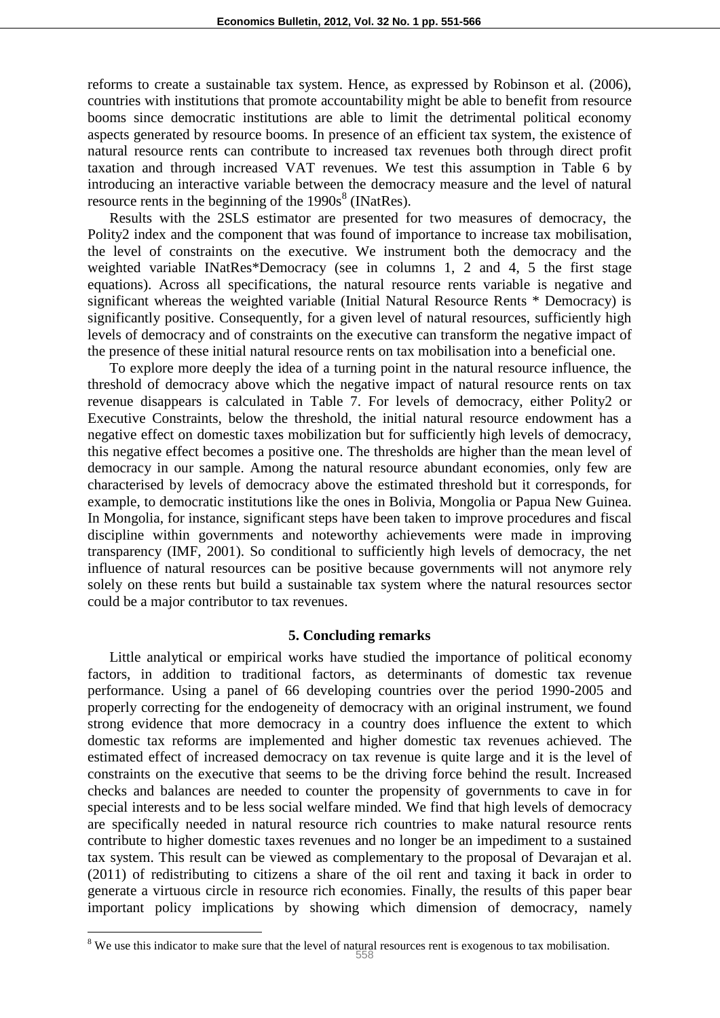reforms to create a sustainable tax system. Hence, as expressed by Robinson et al. (2006), countries with institutions that promote accountability might be able to benefit from resource booms since democratic institutions are able to limit the detrimental political economy aspects generated by resource booms. In presence of an efficient tax system, the existence of natural resource rents can contribute to increased tax revenues both through direct profit taxation and through increased VAT revenues. We test this assumption in Table 6 by introducing an interactive variable between the democracy measure and the level of natural resource rents in the beginning of the  $1990s<sup>8</sup>$  (INatRes).

Results with the 2SLS estimator are presented for two measures of democracy, the Polity2 index and the component that was found of importance to increase tax mobilisation, the level of constraints on the executive. We instrument both the democracy and the weighted variable INatRes\*Democracy (see in columns 1, 2 and 4, 5 the first stage equations). Across all specifications, the natural resource rents variable is negative and significant whereas the weighted variable (Initial Natural Resource Rents \* Democracy) is significantly positive. Consequently, for a given level of natural resources, sufficiently high levels of democracy and of constraints on the executive can transform the negative impact of the presence of these initial natural resource rents on tax mobilisation into a beneficial one.

To explore more deeply the idea of a turning point in the natural resource influence, the threshold of democracy above which the negative impact of natural resource rents on tax revenue disappears is calculated in Table 7. For levels of democracy, either Polity2 or Executive Constraints, below the threshold, the initial natural resource endowment has a negative effect on domestic taxes mobilization but for sufficiently high levels of democracy, this negative effect becomes a positive one. The thresholds are higher than the mean level of democracy in our sample. Among the natural resource abundant economies, only few are characterised by levels of democracy above the estimated threshold but it corresponds, for example, to democratic institutions like the ones in Bolivia, Mongolia or Papua New Guinea. In Mongolia, for instance, significant steps have been taken to improve procedures and fiscal discipline within governments and noteworthy achievements were made in improving transparency (IMF, 2001). So conditional to sufficiently high levels of democracy, the net influence of natural resources can be positive because governments will not anymore rely solely on these rents but build a sustainable tax system where the natural resources sector could be a major contributor to tax revenues.

#### **5. Concluding remarks**

Little analytical or empirical works have studied the importance of political economy factors, in addition to traditional factors, as determinants of domestic tax revenue performance. Using a panel of 66 developing countries over the period 1990-2005 and properly correcting for the endogeneity of democracy with an original instrument, we found strong evidence that more democracy in a country does influence the extent to which domestic tax reforms are implemented and higher domestic tax revenues achieved. The estimated effect of increased democracy on tax revenue is quite large and it is the level of constraints on the executive that seems to be the driving force behind the result. Increased checks and balances are needed to counter the propensity of governments to cave in for special interests and to be less social welfare minded. We find that high levels of democracy are specifically needed in natural resource rich countries to make natural resource rents contribute to higher domestic taxes revenues and no longer be an impediment to a sustained tax system. This result can be viewed as complementary to the proposal of Devarajan et al. (2011) of redistributing to citizens a share of the oil rent and taxing it back in order to generate a virtuous circle in resource rich economies. Finally, the results of this paper bear important policy implications by showing which dimension of democracy, namely

<sup>&</sup>lt;sup>8</sup> We use this indicator to make sure that the level of natural resources rent is exogenous to tax mobilisation.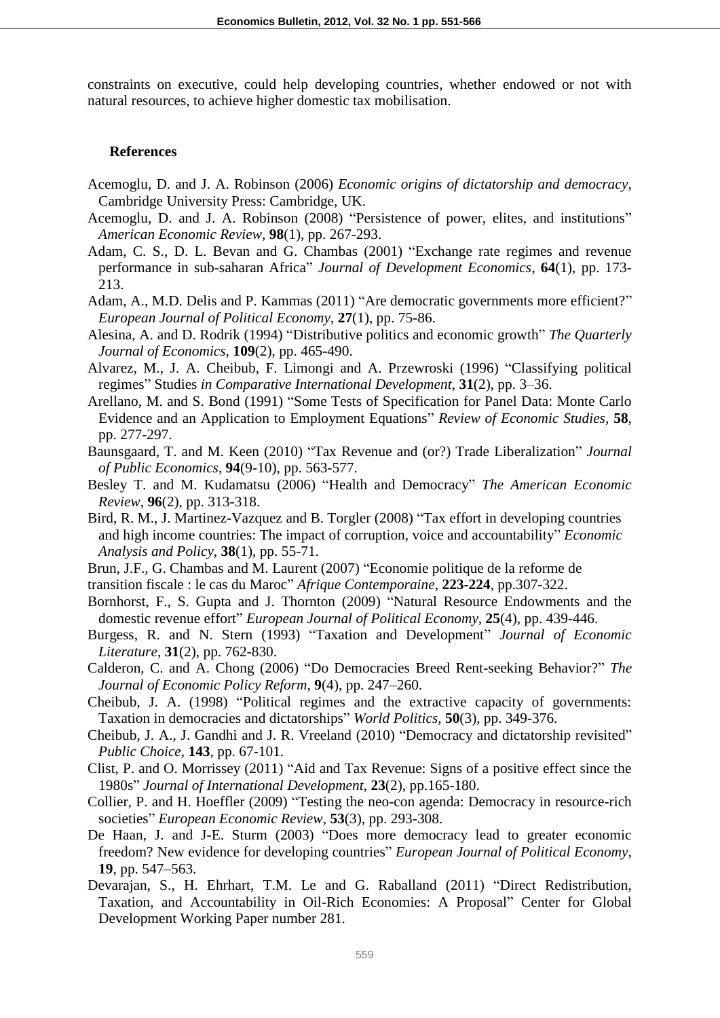constraints on executive, could help developing countries, whether endowed or not with natural resources, to achieve higher domestic tax mobilisation.

#### **References**

- Acemoglu, D. and J. A. Robinson (2006) *Economic origins of dictatorship and democracy,* Cambridge University Press: Cambridge, UK.
- Acemoglu, D. and J. A. Robinson (2008) "Persistence of power, elites, and institutions" *American Economic Review*, **98**(1), pp. 267-293.
- Adam, C. S., D. L. Bevan and G. Chambas (2001) "Exchange rate regimes and revenue performance in sub-saharan Africa" *Journal of Development Economics*, **64**(1), pp. 173- 213.
- Adam, A., M.D. Delis and P. Kammas (2011) "Are democratic governments more efficient?" *European Journal of Political Economy*, **27**(1), pp. 75-86.
- Alesina, A. and D. Rodrik (1994) "Distributive politics and economic growth" *The Quarterly Journal of Economics*, **109**(2), pp. 465-490.
- Alvarez, M., J. A. Cheibub, F. Limongi and A. Przewroski (1996) "Classifying political regimes" Studies *in Comparative International Development*, **31**(2), pp. 3–36.
- Arellano, M. and S. Bond (1991) "Some Tests of Specification for Panel Data: Monte Carlo Evidence and an Application to Employment Equations" *Review of Economic Studies,* **58**, pp. 277-297.
- Baunsgaard, T. and M. Keen (2010) "Tax Revenue and (or?) Trade Liberalization" *Journal of Public Economics*, **94**(9-10), pp. 563-577.
- Besley T. and M. Kudamatsu (2006) "Health and Democracy" *The American Economic Review*, **96**(2), pp. 313-318.
- Bird, R. M., J. Martinez-Vazquez and B. Torgler (2008) "Tax effort in developing countries and high income countries: The impact of corruption, voice and accountability" *Economic Analysis and Policy*, **38**(1), pp. 55-71.
- Brun, J.F., G. Chambas and M. Laurent (2007) "Economie politique de la reforme de
- transition fiscale : le cas du Maroc" *Afrique Contemporaine*, **223-224**, pp.307-322.
- Bornhorst, F., S. Gupta and J. Thornton (2009) "Natural Resource Endowments and the domestic revenue effort" *European Journal of Political Economy,* **25**(4), pp. 439-446.
- Burgess, R. and N. Stern (1993) "Taxation and Development" *Journal of Economic Literature*, **31**(2), pp. 762-830.
- Calderon, C. and A. Chong (2006) "Do Democracies Breed Rent-seeking Behavior?" *The Journal of Economic Policy Reform*, **9**(4), pp. 247–260.
- Cheibub, J. A. (1998) "Political regimes and the extractive capacity of governments: Taxation in democracies and dictatorships" *World Politics*, **50**(3), pp. 349-376.
- Cheibub, J. A., J. Gandhi and J. R. Vreeland (2010) "Democracy and dictatorship revisited" *Public Choice,* **143**, pp. 67-101.
- Clist, P. and O. Morrissey (2011) "Aid and Tax Revenue: Signs of a positive effect since the 1980s" *Journal of International Development*, **23**(2), pp.165-180.
- Collier, P. and H. Hoeffler (2009) "Testing the neo-con agenda: Democracy in resource-rich societies" *European Economic Review*, **53**(3), pp. 293-308.
- De Haan, J. and J-E. Sturm (2003) "Does more democracy lead to greater economic freedom? New evidence for developing countries" *European Journal of Political Economy*, **19**, pp. 547–563.
- Devarajan, S., H. Ehrhart, T.M. Le and G. Raballand (2011) "Direct Redistribution, Taxation, and Accountability in Oil-Rich Economies: A Proposal" Center for Global Development Working Paper number 281.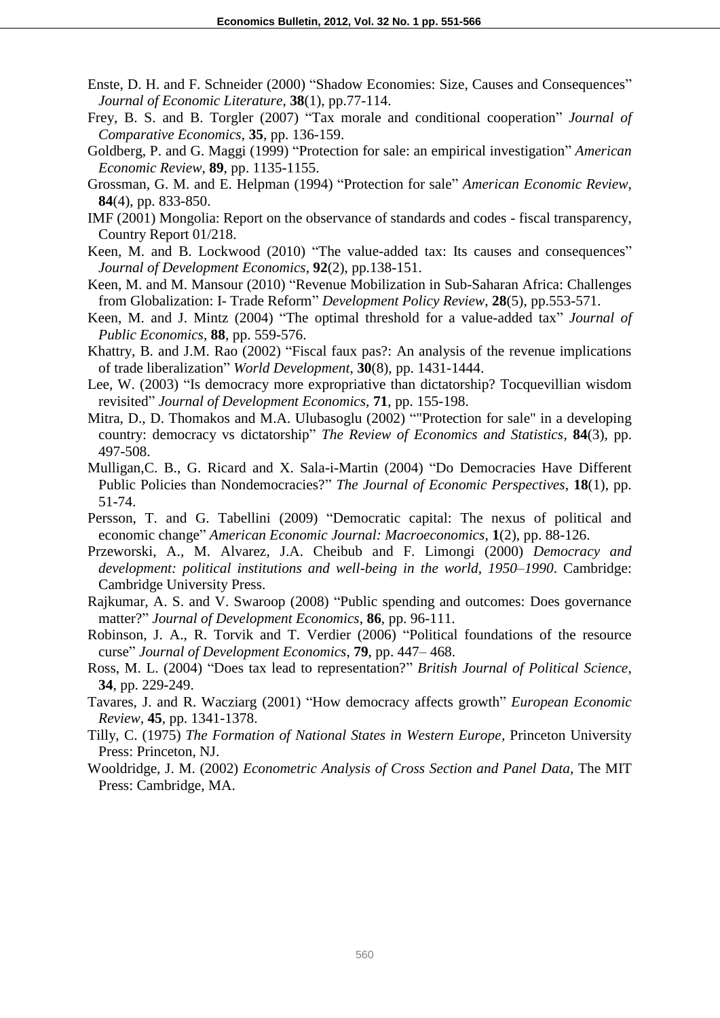- Enste, D. H. and F. Schneider (2000) "Shadow Economies: Size, Causes and Consequences" *Journal of Economic Literature*, **38**(1), pp.77-114.
- Frey, B. S. and B. Torgler (2007) "Tax morale and conditional cooperation" *Journal of Comparative Economics*, **35**, pp. 136-159.
- Goldberg, P. and G. Maggi (1999) "Protection for sale: an empirical investigation" *American Economic Review*, **89**, pp. 1135-1155.
- Grossman, G. M. and E. Helpman (1994) "Protection for sale" *American Economic Review*, **84**(4), pp. 833-850.
- IMF (2001) Mongolia: Report on the observance of standards and codes fiscal transparency, Country Report 01/218.
- Keen, M. and B. Lockwood (2010) "The value-added tax: Its causes and consequences" *Journal of Development Economics*, **92**(2), pp.138-151.
- Keen, M. and M. Mansour (2010) "Revenue Mobilization in Sub-Saharan Africa: Challenges from Globalization: I- Trade Reform" *Development Policy Review*, **28**(5), pp.553-571.
- Keen, M. and J. Mintz (2004) "The optimal threshold for a value-added tax" *Journal of Public Economics*, **88**, pp. 559-576.
- Khattry, B. and J.M. Rao (2002) "Fiscal faux pas?: An analysis of the revenue implications of trade liberalization" *World Development*, **30**(8), pp. 1431-1444.
- Lee, W. (2003) "Is democracy more expropriative than dictatorship? Tocquevillian wisdom revisited" *Journal of Development Economics,* **71**, pp. 155-198.
- Mitra, D., D. Thomakos and M.A. Ulubasoglu (2002) ""Protection for sale" in a developing country: democracy vs dictatorship" *The Review of Economics and Statistics*, **84**(3), pp. 497-508.
- Mulligan,C. B., G. Ricard and X. Sala-i-Martin (2004) "Do Democracies Have Different Public Policies than Nondemocracies?" *The Journal of Economic Perspectives*, **18**(1), pp. 51-74.
- Persson, T. and G. Tabellini (2009) "Democratic capital: The nexus of political and economic change" *American Economic Journal: Macroeconomics*, **1**(2), pp. 88-126.
- Przeworski, A., M. Alvarez, J.A. Cheibub and F. Limongi (2000) *Democracy and development: political institutions and well-being in the world, 1950–1990*. Cambridge: Cambridge University Press.
- Rajkumar, A. S. and V. Swaroop (2008) "Public spending and outcomes: Does governance matter?" *Journal of Development Economics*, **86**, pp. 96-111.
- Robinson, J. A., R. Torvik and T. Verdier (2006) "Political foundations of the resource curse" *Journal of Development Economics*, **79**, pp. 447– 468.
- Ross, M. L. (2004) "Does tax lead to representation?" *British Journal of Political Science*, **34**, pp. 229-249.
- Tavares, J. and R. Wacziarg (2001) "How democracy affects growth" *European Economic Review,* **45**, pp. 1341-1378.
- Tilly, C. (1975) *The Formation of National States in Western Europe,* Princeton University Press: Princeton, NJ.
- Wooldridge, J. M. (2002) *Econometric Analysis of Cross Section and Panel Data*, The MIT Press: Cambridge, MA.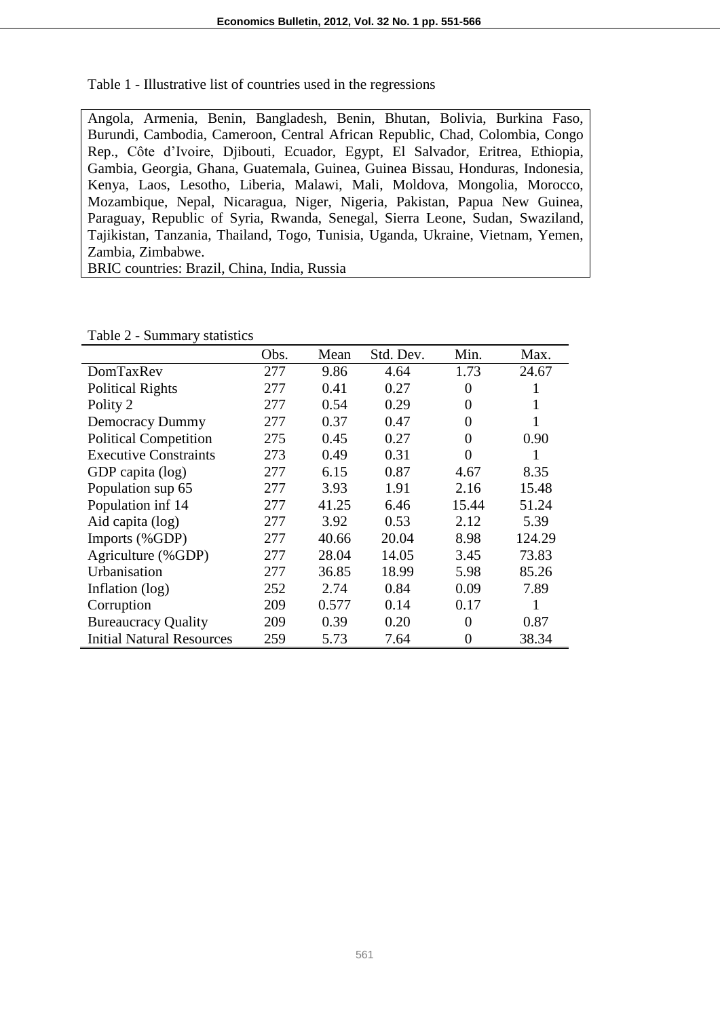Table 1 - Illustrative list of countries used in the regressions

Angola, Armenia, Benin, Bangladesh, Benin, Bhutan, Bolivia, Burkina Faso, Burundi, Cambodia, Cameroon, Central African Republic, Chad, Colombia, Congo Rep., Côte d'Ivoire, Djibouti, Ecuador, Egypt, El Salvador, Eritrea, Ethiopia, Gambia, Georgia, Ghana, Guatemala, Guinea, Guinea Bissau, Honduras, Indonesia, Kenya, Laos, Lesotho, Liberia, Malawi, Mali, Moldova, Mongolia, Morocco, Mozambique, Nepal, Nicaragua, Niger, Nigeria, Pakistan, Papua New Guinea, Paraguay, Republic of Syria, Rwanda, Senegal, Sierra Leone, Sudan, Swaziland, Tajikistan, Tanzania, Thailand, Togo, Tunisia, Uganda, Ukraine, Vietnam, Yemen, Zambia, Zimbabwe.

BRIC countries: Brazil, China, India, Russia

|                                  | Obs. | Mean  | Std. Dev. | Min.  | Max.   |
|----------------------------------|------|-------|-----------|-------|--------|
| DomTaxRev                        | 277  | 9.86  | 4.64      | 1.73  | 24.67  |
| <b>Political Rights</b>          | 277  | 0.41  | 0.27      | 0     |        |
| Polity 2                         | 277  | 0.54  | 0.29      | 0     | 1      |
| <b>Democracy Dummy</b>           | 277  | 0.37  | 0.47      | 0     | 1      |
| <b>Political Competition</b>     | 275  | 0.45  | 0.27      | 0     | 0.90   |
| <b>Executive Constraints</b>     | 273  | 0.49  | 0.31      | 0     |        |
| GDP capita (log)                 | 277  | 6.15  | 0.87      | 4.67  | 8.35   |
| Population sup 65                | 277  | 3.93  | 1.91      | 2.16  | 15.48  |
| Population inf 14                | 277  | 41.25 | 6.46      | 15.44 | 51.24  |
| Aid capita (log)                 | 277  | 3.92  | 0.53      | 2.12  | 5.39   |
| Imports (%GDP)                   | 277  | 40.66 | 20.04     | 8.98  | 124.29 |
| Agriculture (%GDP)               | 277  | 28.04 | 14.05     | 3.45  | 73.83  |
| Urbanisation                     | 277  | 36.85 | 18.99     | 5.98  | 85.26  |
| Inflation (log)                  | 252  | 2.74  | 0.84      | 0.09  | 7.89   |
| Corruption                       | 209  | 0.577 | 0.14      | 0.17  |        |
| <b>Bureaucracy Quality</b>       | 209  | 0.39  | 0.20      | 0     | 0.87   |
| <b>Initial Natural Resources</b> | 259  | 5.73  | 7.64      | 0     | 38.34  |

Table 2 - Summary statistics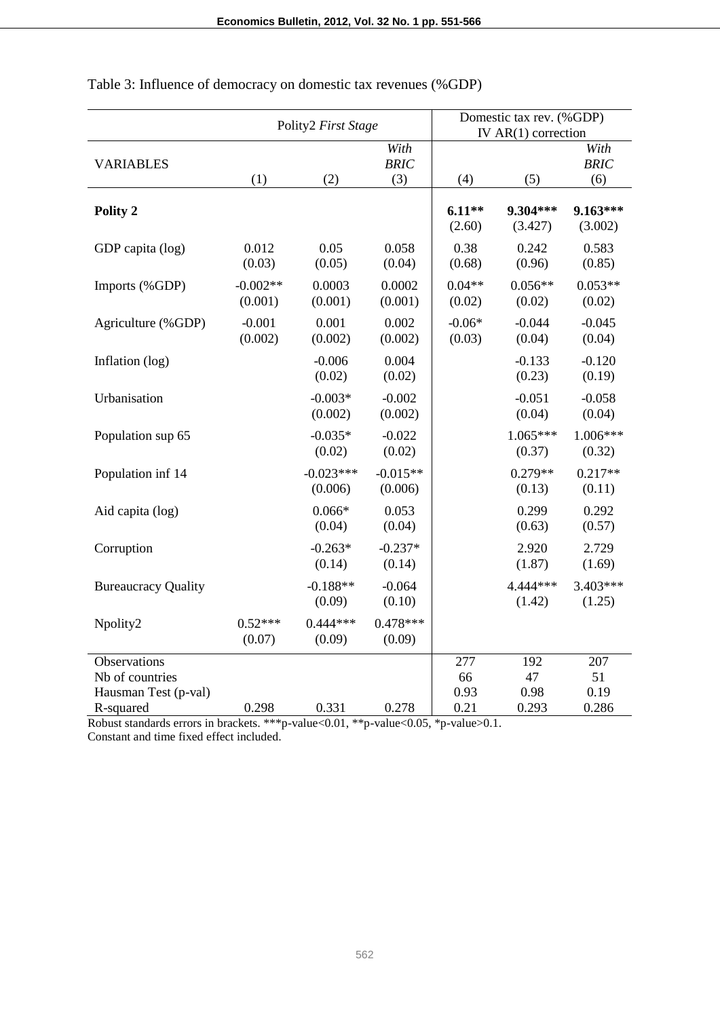|                                                                      |                       | Polity2 First Stage    |                            |                           | Domestic tax rev. (%GDP)<br>IV $AR(1)$ correction |                            |
|----------------------------------------------------------------------|-----------------------|------------------------|----------------------------|---------------------------|---------------------------------------------------|----------------------------|
| <b>VARIABLES</b>                                                     | (1)                   | (2)                    | With<br><b>BRIC</b><br>(3) | (4)                       | (5)                                               | With<br><b>BRIC</b><br>(6) |
| Polity 2                                                             |                       |                        |                            | $6.11**$<br>(2.60)        | 9.304***<br>(3.427)                               | 9.163***<br>(3.002)        |
| GDP capita (log)                                                     | 0.012<br>(0.03)       | 0.05<br>(0.05)         | 0.058<br>(0.04)            | 0.38<br>(0.68)            | 0.242<br>(0.96)                                   | 0.583<br>(0.85)            |
| Imports (%GDP)                                                       | $-0.002**$<br>(0.001) | 0.0003<br>(0.001)      | 0.0002<br>(0.001)          | $0.04**$<br>(0.02)        | $0.056**$<br>(0.02)                               | $0.053**$<br>(0.02)        |
| Agriculture (%GDP)                                                   | $-0.001$<br>(0.002)   | 0.001<br>(0.002)       | 0.002<br>(0.002)           | $-0.06*$<br>(0.03)        | $-0.044$<br>(0.04)                                | $-0.045$<br>(0.04)         |
| Inflation (log)                                                      |                       | $-0.006$<br>(0.02)     | 0.004<br>(0.02)            |                           | $-0.133$<br>(0.23)                                | $-0.120$<br>(0.19)         |
| Urbanisation                                                         |                       | $-0.003*$<br>(0.002)   | $-0.002$<br>(0.002)        |                           | $-0.051$<br>(0.04)                                | $-0.058$<br>(0.04)         |
| Population sup 65                                                    |                       | $-0.035*$<br>(0.02)    | $-0.022$<br>(0.02)         |                           | $1.065***$<br>(0.37)                              | $1.006***$<br>(0.32)       |
| Population inf 14                                                    |                       | $-0.023***$<br>(0.006) | $-0.015**$<br>(0.006)      |                           | $0.279**$<br>(0.13)                               | $0.217**$<br>(0.11)        |
| Aid capita (log)                                                     |                       | $0.066*$<br>(0.04)     | 0.053<br>(0.04)            |                           | 0.299<br>(0.63)                                   | 0.292<br>(0.57)            |
| Corruption                                                           |                       | $-0.263*$<br>(0.14)    | $-0.237*$<br>(0.14)        |                           | 2.920<br>(1.87)                                   | 2.729<br>(1.69)            |
| <b>Bureaucracy Quality</b>                                           |                       | $-0.188**$<br>(0.09)   | $-0.064$<br>(0.10)         |                           | 4.444 ***<br>(1.42)                               | $3.403***$<br>(1.25)       |
| Npolity2                                                             | $0.52***$<br>(0.07)   | $0.444***$<br>(0.09)   | $0.478***$<br>(0.09)       |                           |                                                   |                            |
| Observations<br>Nb of countries<br>Hausman Test (p-val)<br>R-squared | 0.298                 | 0.331                  | 0.278                      | 277<br>66<br>0.93<br>0.21 | 192<br>47<br>0.98<br>0.293                        | 207<br>51<br>0.19<br>0.286 |

Table 3: Influence of democracy on domestic tax revenues (%GDP)

Robust standards errors in brackets. \*\*\*p-value<0.01, \*\*p-value<0.05, \*p-value>0.1. Constant and time fixed effect included.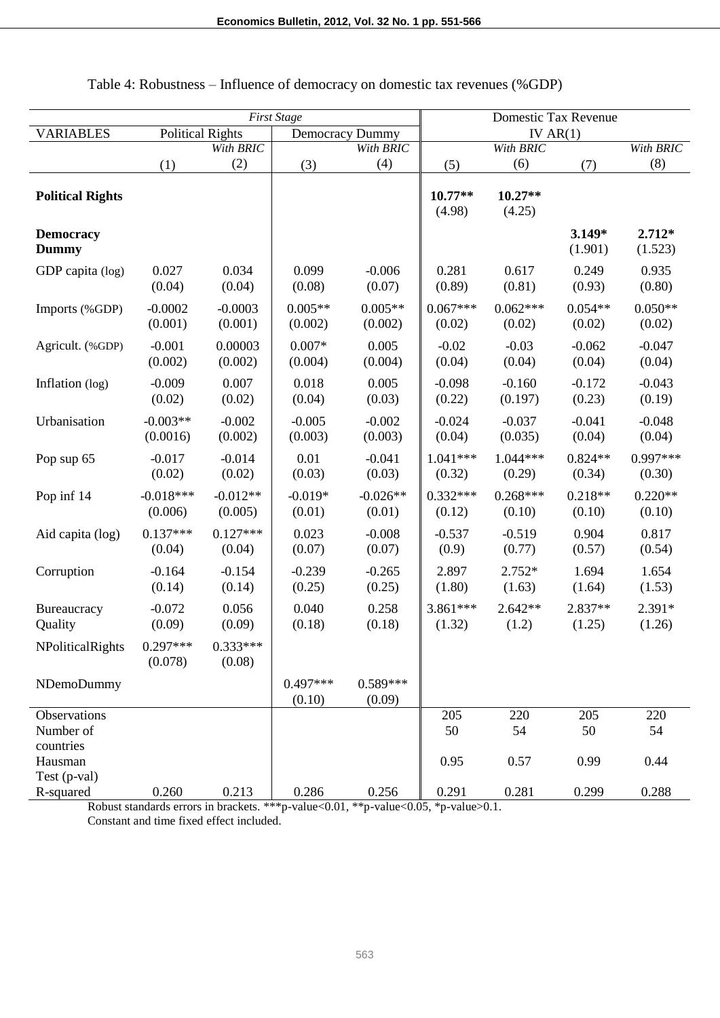| <b>First Stage</b>                   |                         |                       | Domestic Tax Revenue   |                      |                      |                      |                     |                      |
|--------------------------------------|-------------------------|-----------------------|------------------------|----------------------|----------------------|----------------------|---------------------|----------------------|
| <b>VARIABLES</b>                     | <b>Political Rights</b> |                       | <b>Democracy Dummy</b> |                      | IV $AR(1)$           |                      |                     |                      |
|                                      |                         | With <b>BRIC</b>      |                        | With BRIC            |                      | With BRIC            |                     | With BRIC            |
|                                      | (1)                     | (2)                   | (3)                    | (4)                  | (5)                  | (6)                  | (7)                 | (8)                  |
| <b>Political Rights</b>              |                         |                       |                        |                      | $10.77**$<br>(4.98)  | $10.27**$<br>(4.25)  |                     |                      |
| <b>Democracy</b><br><b>Dummy</b>     |                         |                       |                        |                      |                      |                      | $3.149*$<br>(1.901) | $2.712*$<br>(1.523)  |
| GDP capita (log)                     | 0.027<br>(0.04)         | 0.034<br>(0.04)       | 0.099<br>(0.08)        | $-0.006$<br>(0.07)   | 0.281<br>(0.89)      | 0.617<br>(0.81)      | 0.249<br>(0.93)     | 0.935<br>(0.80)      |
| Imports (%GDP)                       | $-0.0002$<br>(0.001)    | $-0.0003$<br>(0.001)  | $0.005**$<br>(0.002)   | $0.005**$<br>(0.002) | $0.067***$<br>(0.02) | $0.062***$<br>(0.02) | $0.054**$<br>(0.02) | $0.050**$<br>(0.02)  |
| Agricult. (%GDP)                     | $-0.001$<br>(0.002)     | 0.00003<br>(0.002)    | $0.007*$<br>(0.004)    | 0.005<br>(0.004)     | $-0.02$<br>(0.04)    | $-0.03$<br>(0.04)    | $-0.062$<br>(0.04)  | $-0.047$<br>(0.04)   |
| Inflation (log)                      | $-0.009$<br>(0.02)      | 0.007<br>(0.02)       | 0.018<br>(0.04)        | 0.005<br>(0.03)      | $-0.098$<br>(0.22)   | $-0.160$<br>(0.197)  | $-0.172$<br>(0.23)  | $-0.043$<br>(0.19)   |
| Urbanisation                         | $-0.003**$<br>(0.0016)  | $-0.002$<br>(0.002)   | $-0.005$<br>(0.003)    | $-0.002$<br>(0.003)  | $-0.024$<br>(0.04)   | $-0.037$<br>(0.035)  | $-0.041$<br>(0.04)  | $-0.048$<br>(0.04)   |
| Pop sup 65                           | $-0.017$<br>(0.02)      | $-0.014$<br>(0.02)    | 0.01<br>(0.03)         | $-0.041$<br>(0.03)   | $1.041***$<br>(0.32) | $1.044***$<br>(0.29) | $0.824**$<br>(0.34) | $0.997***$<br>(0.30) |
| Pop inf 14                           | $-0.018***$<br>(0.006)  | $-0.012**$<br>(0.005) | $-0.019*$<br>(0.01)    | $-0.026**$<br>(0.01) | $0.332***$<br>(0.12) | $0.268***$<br>(0.10) | $0.218**$<br>(0.10) | $0.220**$<br>(0.10)  |
| Aid capita (log)                     | $0.137***$<br>(0.04)    | $0.127***$<br>(0.04)  | 0.023<br>(0.07)        | $-0.008$<br>(0.07)   | $-0.537$<br>(0.9)    | $-0.519$<br>(0.77)   | 0.904<br>(0.57)     | 0.817<br>(0.54)      |
| Corruption                           | $-0.164$<br>(0.14)      | $-0.154$<br>(0.14)    | $-0.239$<br>(0.25)     | $-0.265$<br>(0.25)   | 2.897<br>(1.80)      | $2.752*$<br>(1.63)   | 1.694<br>(1.64)     | 1.654<br>(1.53)      |
| Bureaucracy<br>Quality               | $-0.072$<br>(0.09)      | 0.056<br>(0.09)       | 0.040<br>(0.18)        | 0.258<br>(0.18)      | 3.861***<br>(1.32)   | $2.642**$<br>(1.2)   | 2.837**<br>(1.25)   | $2.391*$<br>(1.26)   |
| NPoliticalRights                     | $0.297***$<br>(0.078)   | $0.333***$<br>(0.08)  |                        |                      |                      |                      |                     |                      |
| NDemoDummy                           |                         |                       | $0.497***$<br>(0.10)   | $0.589***$<br>(0.09) |                      |                      |                     |                      |
| Observations<br>Number of            |                         |                       |                        |                      | 205<br>50            | 220<br>54            | 205<br>50           | 220<br>54            |
| countries<br>Hausman<br>Test (p-val) |                         |                       |                        |                      | 0.95                 | 0.57                 | 0.99                | 0.44                 |
| R-squared                            | 0.260                   | 0.213                 | 0.286                  | 0.256                | 0.291                | 0.281                | 0.299               | 0.288                |

### Table 4: Robustness – Influence of democracy on domestic tax revenues (%GDP)

Robust standards errors in brackets. \*\*\*p-value<0.01, \*\*p-value<0.05, \*p-value>0.1. Constant and time fixed effect included.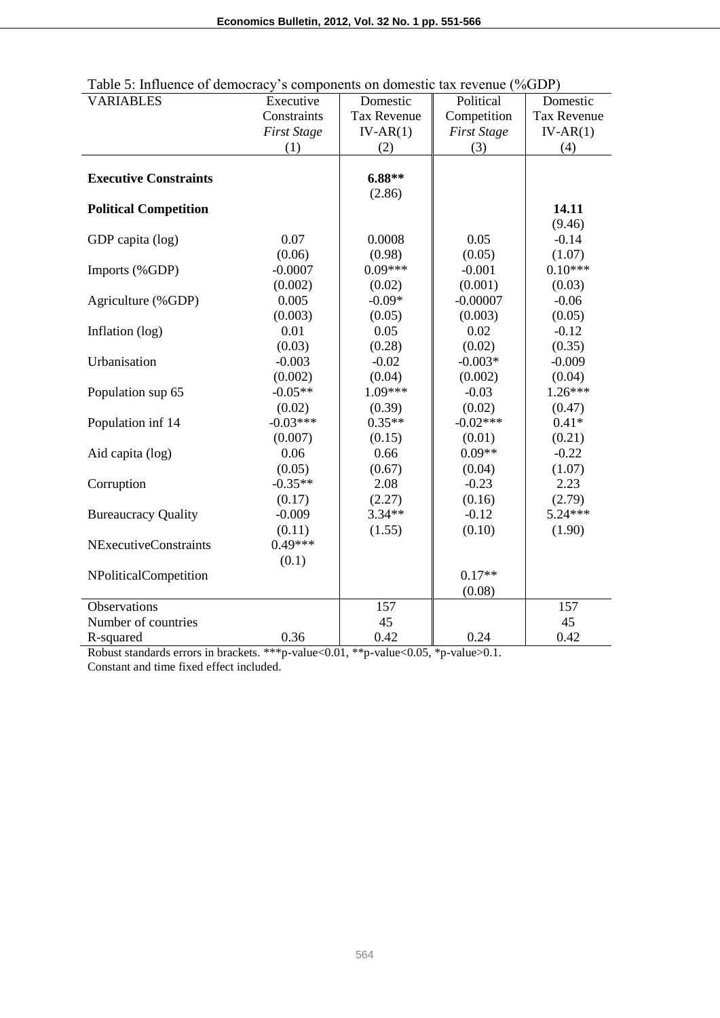| <b>VARIABLES</b>             | Executive          | Domestic           | Political          | Domestic           |
|------------------------------|--------------------|--------------------|--------------------|--------------------|
|                              | Constraints        | <b>Tax Revenue</b> | Competition        | <b>Tax Revenue</b> |
|                              | <b>First Stage</b> | $IV-AR(1)$         | <b>First Stage</b> | $IV-AR(1)$         |
|                              | (1)                | (2)                | (3)                | (4)                |
|                              |                    |                    |                    |                    |
| <b>Executive Constraints</b> |                    | $6.88**$           |                    |                    |
|                              |                    | (2.86)             |                    |                    |
| <b>Political Competition</b> |                    |                    |                    | 14.11              |
|                              |                    |                    |                    | (9.46)             |
| GDP capita (log)             | 0.07               | 0.0008             | 0.05               | $-0.14$            |
|                              | (0.06)             | (0.98)             | (0.05)             | (1.07)             |
| Imports (%GDP)               | $-0.0007$          | $0.09***$          | $-0.001$           | $0.10***$          |
|                              | (0.002)            | (0.02)             | (0.001)            | (0.03)             |
| Agriculture (%GDP)           | 0.005              | $-0.09*$           | $-0.00007$         | $-0.06$            |
|                              | (0.003)            | (0.05)             | (0.003)            | (0.05)             |
| Inflation (log)              | 0.01               | 0.05               | 0.02               | $-0.12$            |
|                              | (0.03)             | (0.28)             | (0.02)             | (0.35)             |
| Urbanisation                 | $-0.003$           | $-0.02$            | $-0.003*$          | $-0.009$           |
|                              | (0.002)            | (0.04)             | (0.002)            | (0.04)             |
| Population sup 65            | $-0.05**$          | 1.09***            | $-0.03$            | $1.26***$          |
|                              | (0.02)             | (0.39)             | (0.02)             | (0.47)             |
| Population inf 14            | $-0.03***$         | $0.35**$           | $-0.02***$         | $0.41*$            |
|                              | (0.007)            | (0.15)             | (0.01)             | (0.21)             |
| Aid capita (log)             | 0.06               | 0.66               | $0.09**$           | $-0.22$            |
|                              | (0.05)             | (0.67)             | (0.04)             | (1.07)             |
| Corruption                   | $-0.35**$          | 2.08               | $-0.23$            | 2.23               |
|                              | (0.17)             | (2.27)             | (0.16)             | (2.79)             |
| <b>Bureaucracy Quality</b>   | $-0.009$           | $3.34**$           | $-0.12$            | $5.24***$          |
|                              | (0.11)             | (1.55)             | (0.10)             | (1.90)             |
| <b>NExecutiveConstraints</b> | $0.49***$          |                    |                    |                    |
|                              | (0.1)              |                    |                    |                    |
| NPoliticalCompetition        |                    |                    | $0.17**$           |                    |
|                              |                    |                    | (0.08)             |                    |
| <b>Observations</b>          |                    | 157                |                    | 157                |
| Number of countries          |                    | 45                 |                    | 45                 |
| R-squared                    | 0.36               | 0.42               | 0.24               | 0.42               |

| Table 5: Influence of democracy's components on domestic tax revenue (%GDP) |  |
|-----------------------------------------------------------------------------|--|
|                                                                             |  |

Robust standards errors in brackets. \*\*\*p-value<0.01, \*\*p-value<0.05, \*p-value>0.1. Constant and time fixed effect included.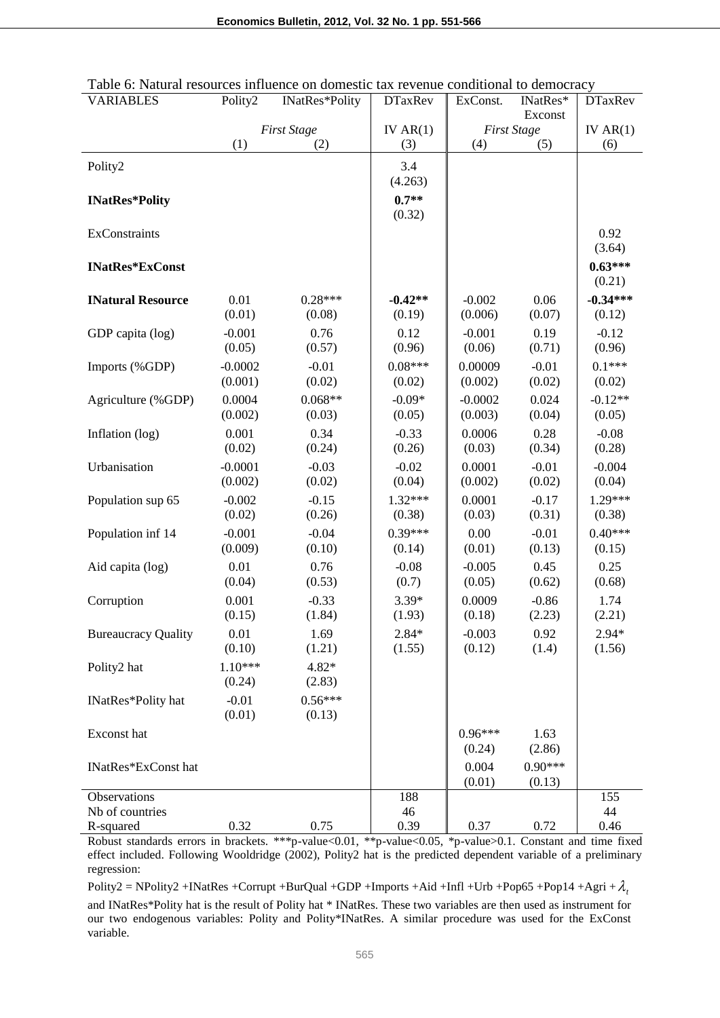| <b>VARIABLES</b>           | Polity2              | INatRes*Polity      | <b>DTaxRev</b>      | ExConst.             | INatRes*            | <b>DTaxRev</b>       |
|----------------------------|----------------------|---------------------|---------------------|----------------------|---------------------|----------------------|
|                            |                      |                     |                     | Exconst              |                     |                      |
|                            |                      | <b>First Stage</b>  | IV $AR(1)$          |                      | <b>First Stage</b>  | IV $AR(1)$           |
|                            | (1)                  | (2)                 | (3)                 | (4)                  | (5)                 | (6)                  |
| Polity2                    |                      |                     | 3.4<br>(4.263)      |                      |                     |                      |
| <b>INatRes*Polity</b>      |                      |                     | $0.7**$<br>(0.32)   |                      |                     |                      |
| ExConstraints              |                      |                     |                     |                      |                     | 0.92<br>(3.64)       |
| <b>INatRes*ExConst</b>     |                      |                     |                     |                      |                     | $0.63***$<br>(0.21)  |
| <b>INatural Resource</b>   | 0.01<br>(0.01)       | $0.28***$<br>(0.08) | $-0.42**$<br>(0.19) | $-0.002$<br>(0.006)  | 0.06<br>(0.07)      | $-0.34***$<br>(0.12) |
| GDP capita (log)           | $-0.001$<br>(0.05)   | 0.76<br>(0.57)      | 0.12<br>(0.96)      | $-0.001$<br>(0.06)   | 0.19<br>(0.71)      | $-0.12$<br>(0.96)    |
| Imports (%GDP)             | $-0.0002$<br>(0.001) | $-0.01$<br>(0.02)   | $0.08***$<br>(0.02) | 0.00009<br>(0.002)   | $-0.01$<br>(0.02)   | $0.1***$<br>(0.02)   |
| Agriculture (%GDP)         | 0.0004<br>(0.002)    | $0.068**$<br>(0.03) | $-0.09*$<br>(0.05)  | $-0.0002$<br>(0.003) | 0.024<br>(0.04)     | $-0.12**$<br>(0.05)  |
| Inflation (log)            | 0.001<br>(0.02)      | 0.34<br>(0.24)      | $-0.33$<br>(0.26)   | 0.0006<br>(0.03)     | 0.28<br>(0.34)      | $-0.08$<br>(0.28)    |
| Urbanisation               | $-0.0001$<br>(0.002) | $-0.03$<br>(0.02)   | $-0.02$<br>(0.04)   | 0.0001<br>(0.002)    | $-0.01$<br>(0.02)   | $-0.004$<br>(0.04)   |
| Population sup 65          | $-0.002$<br>(0.02)   | $-0.15$<br>(0.26)   | $1.32***$<br>(0.38) | 0.0001<br>(0.03)     | $-0.17$<br>(0.31)   | $1.29***$<br>(0.38)  |
| Population inf 14          | $-0.001$<br>(0.009)  | $-0.04$<br>(0.10)   | $0.39***$<br>(0.14) | 0.00<br>(0.01)       | $-0.01$<br>(0.13)   | $0.40***$<br>(0.15)  |
| Aid capita (log)           | 0.01<br>(0.04)       | 0.76<br>(0.53)      | $-0.08$<br>(0.7)    | $-0.005$<br>(0.05)   | 0.45<br>(0.62)      | 0.25<br>(0.68)       |
| Corruption                 | 0.001<br>(0.15)      | $-0.33$<br>(1.84)   | $3.39*$<br>(1.93)   | 0.0009<br>(0.18)     | $-0.86$<br>(2.23)   | 1.74<br>(2.21)       |
| <b>Bureaucracy Quality</b> | 0.01<br>(0.10)       | 1.69<br>(1.21)      | $2.84*$<br>(1.55)   | $-0.003$<br>(0.12)   | 0.92<br>(1.4)       | $2.94*$<br>(1.56)    |
| Polity2 hat                | $1.10***$<br>(0.24)  | $4.82*$<br>(2.83)   |                     |                      |                     |                      |
| INatRes*Polity hat         | $-0.01$<br>(0.01)    | $0.56***$<br>(0.13) |                     |                      |                     |                      |
| Exconst hat                |                      |                     |                     | $0.96***$<br>(0.24)  | 1.63<br>(2.86)      |                      |
| INatRes*ExConst hat        |                      |                     |                     | 0.004<br>(0.01)      | $0.90***$<br>(0.13) |                      |
| Observations               |                      |                     | 188                 |                      |                     | 155                  |
| Nb of countries            |                      |                     | 46                  |                      |                     | 44                   |
| R-squared                  | 0.32                 | 0.75                | 0.39                | 0.37                 | 0.72                | 0.46                 |

| Table 6: Natural resources influence on domestic tax revenue conditional to democracy |
|---------------------------------------------------------------------------------------|
|---------------------------------------------------------------------------------------|

Robust standards errors in brackets. \*\*\*p-value<0.01, \*\*p-value<0.05, \*p-value>0.1. Constant and time fixed effect included. Following Wooldridge (2002), Polity2 hat is the predicted dependent variable of a preliminary regression:

Polity2 = NPolity2 +INatRes +Corrupt +BurQual +GDP +Imports +Aid +Infl +Urb +Pop65 +Pop14 +Agri + $\lambda$ <sub>t</sub>

and INatRes\*Polity hat is the result of Polity hat \* INatRes. These two variables are then used as instrument for our two endogenous variables: Polity and Polity\*INatRes. A similar procedure was used for the ExConst variable.